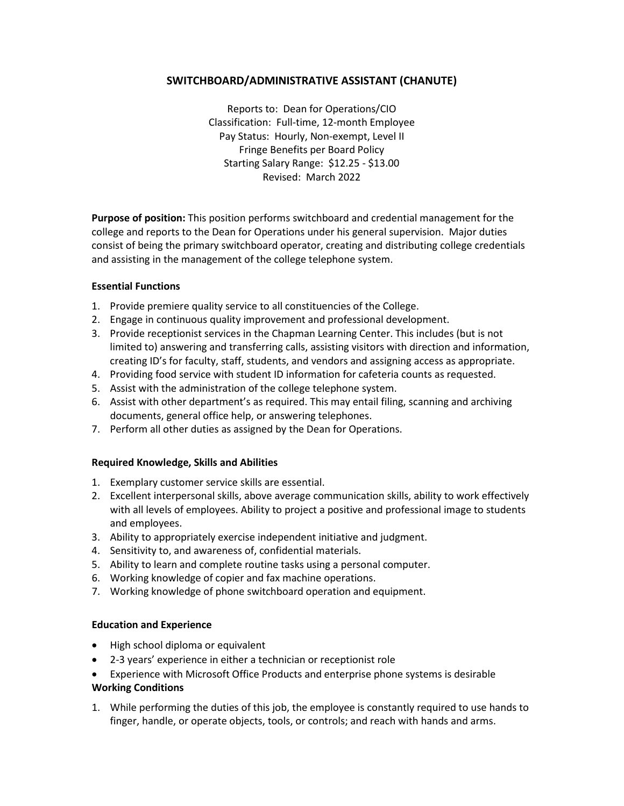# **SWITCHBOARD/ADMINISTRATIVE ASSISTANT (CHANUTE)**

Reports to: Dean for Operations/CIO Classification: Full-time, 12-month Employee Pay Status: Hourly, Non-exempt, Level II Fringe Benefits per Board Policy Starting Salary Range: \$12.25 - \$13.00 Revised: March 2022

**Purpose of position:** This position performs switchboard and credential management for the college and reports to the Dean for Operations under his general supervision. Major duties consist of being the primary switchboard operator, creating and distributing college credentials and assisting in the management of the college telephone system.

## **Essential Functions**

- 1. Provide premiere quality service to all constituencies of the College.
- 2. Engage in continuous quality improvement and professional development.
- 3. Provide receptionist services in the Chapman Learning Center. This includes (but is not limited to) answering and transferring calls, assisting visitors with direction and information, creating ID's for faculty, staff, students, and vendors and assigning access as appropriate.
- 4. Providing food service with student ID information for cafeteria counts as requested.
- 5. Assist with the administration of the college telephone system.
- 6. Assist with other department's as required. This may entail filing, scanning and archiving documents, general office help, or answering telephones.
- 7. Perform all other duties as assigned by the Dean for Operations.

#### **Required Knowledge, Skills and Abilities**

- 1. Exemplary customer service skills are essential.
- 2. Excellent interpersonal skills, above average communication skills, ability to work effectively with all levels of employees. Ability to project a positive and professional image to students and employees.
- 3. Ability to appropriately exercise independent initiative and judgment.
- 4. Sensitivity to, and awareness of, confidential materials.
- 5. Ability to learn and complete routine tasks using a personal computer.
- 6. Working knowledge of copier and fax machine operations.
- 7. Working knowledge of phone switchboard operation and equipment.

#### **Education and Experience**

- High school diploma or equivalent
- 2-3 years' experience in either a technician or receptionist role
- Experience with Microsoft Office Products and enterprise phone systems is desirable

#### **Working Conditions**

1. While performing the duties of this job, the employee is constantly required to use hands to finger, handle, or operate objects, tools, or controls; and reach with hands and arms.